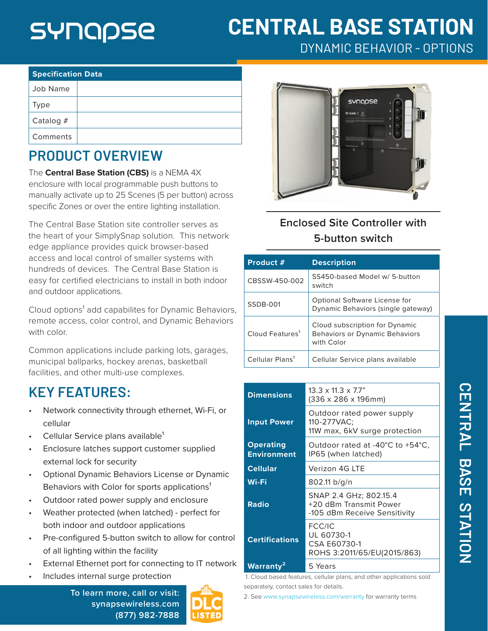# SYNQQSE

# **CENTRAL BASE STATION**

DYNAMIC BEHAVIOR - OPTIONS

| <b>Specification Data</b> |  |  |  |
|---------------------------|--|--|--|
| Job Name                  |  |  |  |
| Type                      |  |  |  |
| Catalog $#$               |  |  |  |
| Comments                  |  |  |  |

# **PRODUCT OVERVIEW**

The **Central Base Station (CBS)** is a NEMA 4X enclosure with local programmable push buttons to manually activate up to 25 Scenes (5 per button) across specific Zones or over the entire lighting installation.

The Central Base Station site controller serves as the heart of your SimplySnap solution. This network edge appliance provides quick browser-based access and local control of smaller systems with hundreds of devices. The Central Base Station is easy for certified electricians to install in both indoor and outdoor applications.

Cloud options<sup>1</sup> add capabilites for Dynamic Behaviors, remote access, color control, and Dynamic Behaviors with color.

Common applications include parking lots, garages, municipal ballparks, hockey arenas, basketball facilities, and other multi-use complexes.

## **KEY FEATURES:**

- Network connectivity through ethernet, Wi-Fi, or cellular
- Cellular Service plans available<sup>1</sup>
- Enclosure latches support customer supplied external lock for security
- Optional Dynamic Behaviors License or Dynamic Behaviors with Color for sports applications<sup>1</sup>
- Outdoor rated power supply and enclosure
- Weather protected (when latched) perfect for both indoor and outdoor applications
- Pre-configured 5-button switch to allow for control of all lighting within the facility
- External Ethernet port for connecting to IT network
- Includes internal surge protection

**To learn more, call or visit: [synapsewireless.com](http://www.synapse-wireless.com) (877) 982-7888**





## **Enclosed Site Controller with 5-button switch**

| Product #                   | <b>Description</b>                                                             |
|-----------------------------|--------------------------------------------------------------------------------|
| CBSSW-450-002               | SS450-based Model w/ 5-button<br>switch                                        |
| SSDB-001                    | Optional Software License for<br>Dynamic Behaviors (single gateway)            |
| Cloud Features <sup>1</sup> | Cloud subscription for Dynamic<br>Behaviors or Dynamic Behaviors<br>with Color |
| Cellular Plans <sup>1</sup> | Cellular Service plans available                                               |

| <b>Dimensions</b>                      | $13.3 \times 11.3 \times 7.7$ "<br>(336 x 286 x 196mm)                           |  |
|----------------------------------------|----------------------------------------------------------------------------------|--|
| <b>Input Power</b>                     | Outdoor rated power supply<br>110-277VAC:<br>11W max, 6kV surge protection       |  |
| <b>Operating</b><br><b>Environment</b> | Outdoor rated at -40°C to +54°C.<br>IP65 (when latched)                          |  |
| <b>Cellular</b>                        | Verizon 4G LTF                                                                   |  |
| Wi-Fi                                  | 802.11 b/q/n                                                                     |  |
| <b>Radio</b>                           | SNAP 2.4 GHz; 802.15.4<br>+20 dBm Transmit Power<br>-105 dBm Receive Sensitivity |  |
| <b>Certifications</b>                  | FCC/IC<br>UL 60730-1<br>CSA F60730-1<br>ROHS 3:2011/65/EU(2015/863)              |  |
| Warranty <sup>2</sup>                  | 5 Years                                                                          |  |

 1. Cloud based features, cellular plans, and other applications sold separately, contact sales for details.

2. See [www.synapsewireless.com/warranty](http://www.synapsewireless.com/warranty ) for warranty terms